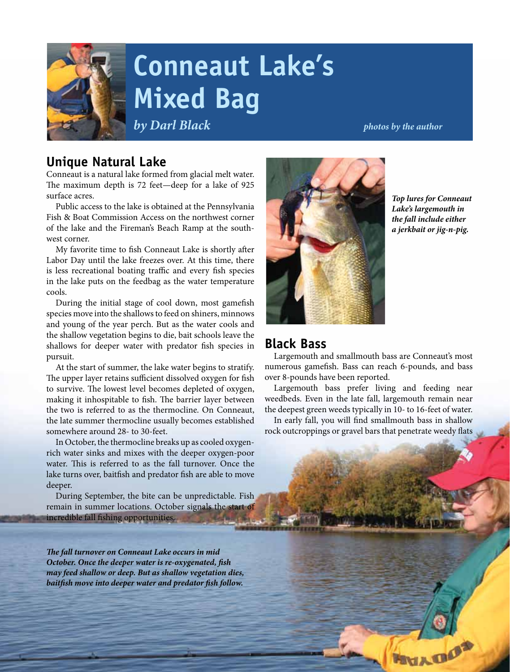

# **Conneaut Lake's Mixed Bag**

*by Darl Black photos by the author* 

## **Unique Natural Lake**

Conneaut is a natural lake formed from glacial melt water. The maximum depth is 72 feet—deep for a lake of 925 surface acres.

Public access to the lake is obtained at the Pennsylvania Fish & Boat Commission Access on the northwest corner of the lake and the Fireman's Beach Ramp at the southwest corner.

My favorite time to fish Conneaut Lake is shortly after Labor Day until the lake freezes over. At this time, there is less recreational boating traffic and every fish species in the lake puts on the feedbag as the water temperature cools.

During the initial stage of cool down, most gamefish species move into the shallows to feed on shiners, minnows and young of the year perch. But as the water cools and the shallow vegetation begins to die, bait schools leave the shallows for deeper water with predator fish species in pursuit.

At the start of summer, the lake water begins to stratify. The upper layer retains sufficient dissolved oxygen for fish to survive. The lowest level becomes depleted of oxygen, making it inhospitable to fish. The barrier layer between the two is referred to as the thermocline. On Conneaut, the late summer thermocline usually becomes established somewhere around 28- to 30-feet.

In October, the thermocline breaks up as cooled oxygenrich water sinks and mixes with the deeper oxygen-poor water. This is referred to as the fall turnover. Once the lake turns over, baitfish and predator fish are able to move deeper.

During September, the bite can be unpredictable. Fish remain in summer locations. October signals the start of incredible fall fishing opportunities.

*The fall turnover on Conneaut Lake occurs in mid October. Once the deeper water is re-oxygenated, fish may feed shallow or deep. But as shallow vegetation dies, baitfish move into deeper water and predator fish follow.*



*Top lures for Conneaut Lake's largemouth in the fall include either a jerkbait or jig-n-pig.*

## **Black Bass**

Largemouth and smallmouth bass are Conneaut's most numerous gamefish. Bass can reach 6-pounds, and bass over 8-pounds have been reported.

Largemouth bass prefer living and feeding near weedbeds. Even in the late fall, largemouth remain near the deepest green weeds typically in 10- to 16-feet of water.

In early fall, you will find smallmouth bass in shallow rock outcroppings or gravel bars that penetrate weedy flats